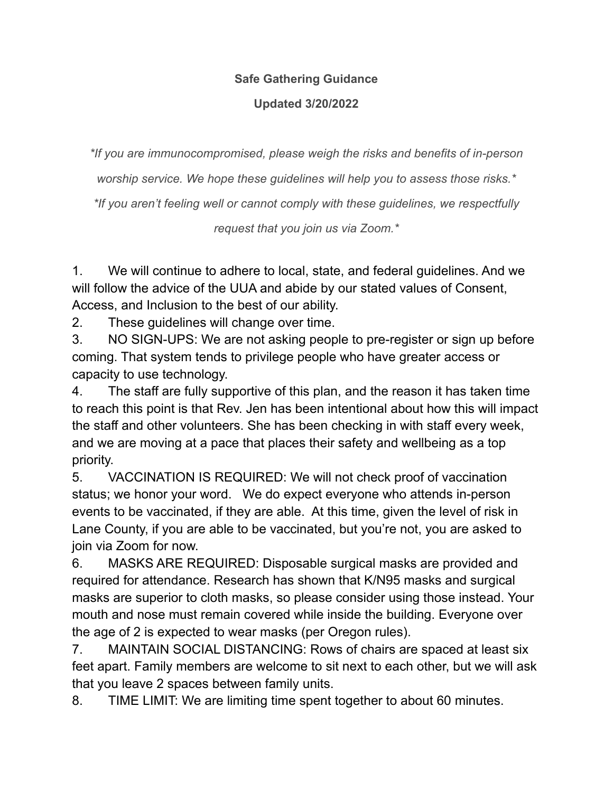## **Safe Gathering Guidance**

## **Updated 3/20/2022**

*\*If you are immunocompromised, please weigh the risks and benefits of in-person*

*worship service. We hope these guidelines will help you to assess those risks.\**

*\*If you aren't feeling well or cannot comply with these guidelines, we respectfully*

*request that you join us via Zoom.\**

1. We will continue to adhere to local, state, and federal guidelines. And we will follow the advice of the UUA and abide by our stated values of Consent, Access, and Inclusion to the best of our ability.

2. These guidelines will change over time.

3. NO SIGN-UPS: We are not asking people to pre-register or sign up before coming. That system tends to privilege people who have greater access or capacity to use technology.

4. The staff are fully supportive of this plan, and the reason it has taken time to reach this point is that Rev. Jen has been intentional about how this will impact the staff and other volunteers. She has been checking in with staff every week, and we are moving at a pace that places their safety and wellbeing as a top priority.

5. VACCINATION IS REQUIRED: We will not check proof of vaccination status; we honor your word. We do expect everyone who attends in-person events to be vaccinated, if they are able. At this time, given the level of risk in Lane County, if you are able to be vaccinated, but you're not, you are asked to join via Zoom for now.

6. MASKS ARE REQUIRED: Disposable surgical masks are provided and required for attendance. Research has shown that K/N95 masks and surgical masks are superior to cloth masks, so please consider using those instead. Your mouth and nose must remain covered while inside the building. Everyone over the age of 2 is expected to wear masks (per Oregon rules).

7. MAINTAIN SOCIAL DISTANCING: Rows of chairs are spaced at least six feet apart. Family members are welcome to sit next to each other, but we will ask that you leave 2 spaces between family units.

8. TIME LIMIT: We are limiting time spent together to about 60 minutes.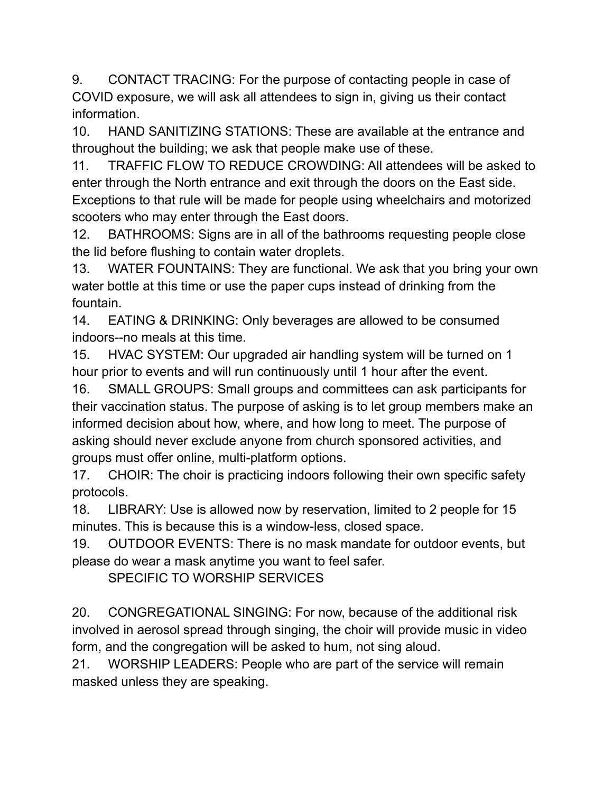9. CONTACT TRACING: For the purpose of contacting people in case of COVID exposure, we will ask all attendees to sign in, giving us their contact information.

10. HAND SANITIZING STATIONS: These are available at the entrance and throughout the building; we ask that people make use of these.

11. TRAFFIC FLOW TO REDUCE CROWDING: All attendees will be asked to enter through the North entrance and exit through the doors on the East side. Exceptions to that rule will be made for people using wheelchairs and motorized scooters who may enter through the East doors.

12. BATHROOMS: Signs are in all of the bathrooms requesting people close the lid before flushing to contain water droplets.

13. WATER FOUNTAINS: They are functional. We ask that you bring your own water bottle at this time or use the paper cups instead of drinking from the fountain.

14. EATING & DRINKING: Only beverages are allowed to be consumed indoors--no meals at this time.

15. HVAC SYSTEM: Our upgraded air handling system will be turned on 1 hour prior to events and will run continuously until 1 hour after the event.

16. SMALL GROUPS: Small groups and committees can ask participants for their vaccination status. The purpose of asking is to let group members make an informed decision about how, where, and how long to meet. The purpose of asking should never exclude anyone from church sponsored activities, and groups must offer online, multi-platform options.

17. CHOIR: The choir is practicing indoors following their own specific safety protocols.

18. LIBRARY: Use is allowed now by reservation, limited to 2 people for 15 minutes. This is because this is a window-less, closed space.

19. OUTDOOR EVENTS: There is no mask mandate for outdoor events, but please do wear a mask anytime you want to feel safer.

SPECIFIC TO WORSHIP SERVICES

20. CONGREGATIONAL SINGING: For now, because of the additional risk involved in aerosol spread through singing, the choir will provide music in video form, and the congregation will be asked to hum, not sing aloud.

21. WORSHIP LEADERS: People who are part of the service will remain masked unless they are speaking.